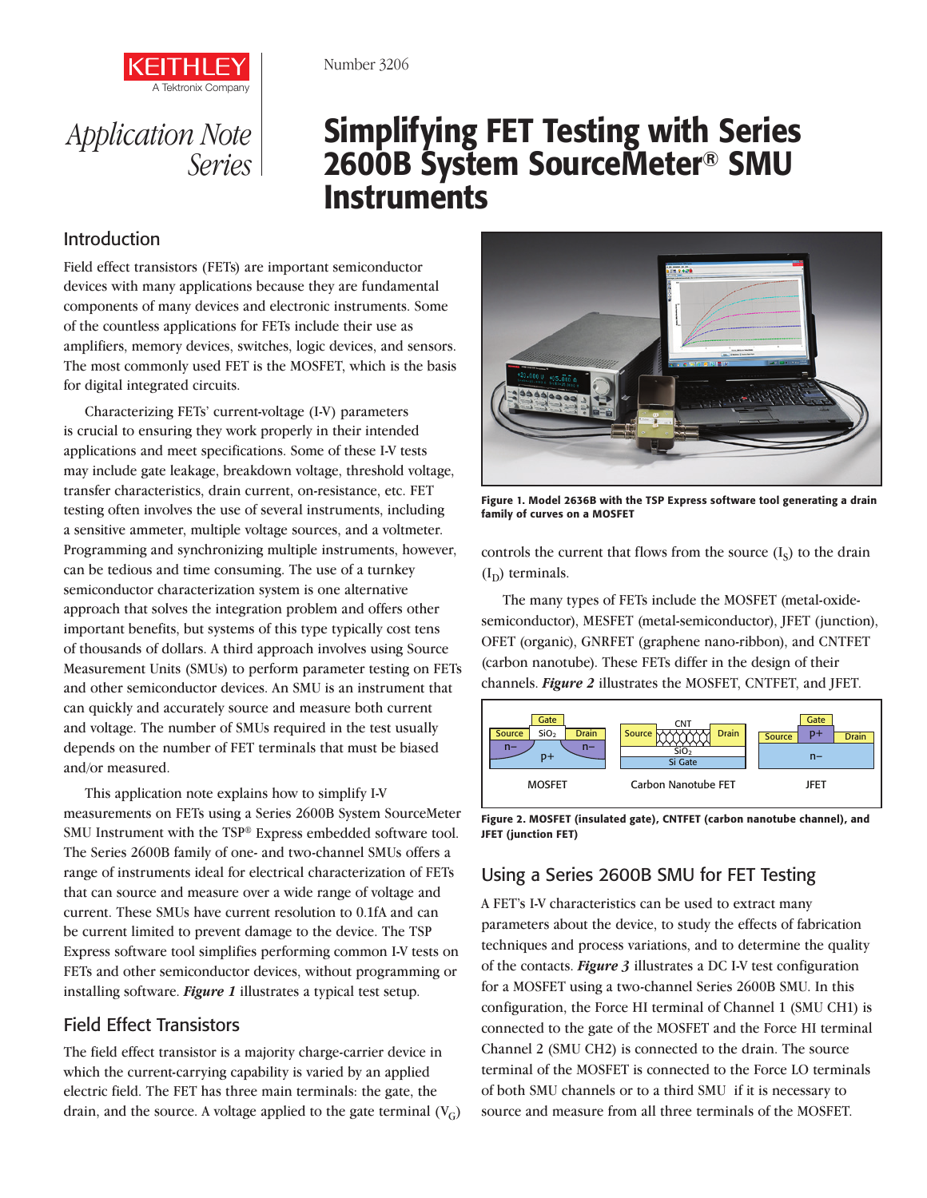



# Simplifying FET Testing with Series 2600B System SourceMeter® SMU **Instruments**

#### Introduction

Field effect transistors (FETs) are important semiconductor devices with many applications because they are fundamental components of many devices and electronic instruments. Some of the countless applications for FETs include their use as amplifiers, memory devices, switches, logic devices, and sensors. The most commonly used FET is the MOSFET, which is the basis for digital integrated circuits.

Characterizing FETs' current-voltage (I-V) parameters is crucial to ensuring they work properly in their intended applications and meet specifications. Some of these I-V tests may include gate leakage, breakdown voltage, threshold voltage, transfer characteristics, drain current, on-resistance, etc. FET testing often involves the use of several instruments, including a sensitive ammeter, multiple voltage sources, and a voltmeter. Programming and synchronizing multiple instruments, however, can be tedious and time consuming. The use of a turnkey semiconductor characterization system is one alternative approach that solves the integration problem and offers other important benefits, but systems of this type typically cost tens of thousands of dollars. A third approach involves using Source Measurement Units (SMUs) to perform parameter testing on FETs and other semiconductor devices. An SMU is an instrument that can quickly and accurately source and measure both current and voltage. The number of SMUs required in the test usually depends on the number of FET terminals that must be biased and/or measured.

This application note explains how to simplify I-V measurements on FETs using a Series 2600B System SourceMeter SMU Instrument with the TSP® Express embedded software tool. The Series 2600B family of one- and two-channel SMUs offers a range of instruments ideal for electrical characterization of FETs that can source and measure over a wide range of voltage and current. These SMUs have current resolution to 0.1fA and can be current limited to prevent damage to the device. The TSP Express software tool simplifies performing common I-V tests on FETs and other semiconductor devices, without programming or installing software. *Figure 1* illustrates a typical test setup.

## Field Effect Transistors

The field effect transistor is a majority charge-carrier device in which the current-carrying capability is varied by an applied electric field. The FET has three main terminals: the gate, the drain, and the source. A voltage applied to the gate terminal  $(V_G)$ 



Figure 1. Model 2636B with the TSP Express software tool generating a drain family of curves on a MOSFET

controls the current that flows from the source  $(I_s)$  to the drain  $(I_D)$  terminals.

The many types of FETs include the MOSFET (metal-oxidesemiconductor), MESFET (metal-semiconductor), JFET (junction), OFET (organic), GNRFET (graphene nano-ribbon), and CNTFET (carbon nanotube). These FETs differ in the design of their channels. *Figure 2* illustrates the MOSFET, CNTFET, and JFET.



Figure 2. MOSFET (insulated gate), CNTFET (carbon nanotube channel), and JFET (junction FET)

## Using a Series 2600B SMU for FET Testing

A FET's I-V characteristics can be used to extract many parameters about the device, to study the effects of fabrication techniques and process variations, and to determine the quality of the contacts. *Figure 3* illustrates a DC I-V test configuration for a MOSFET using a two-channel Series 2600B SMU. In this configuration, the Force HI terminal of Channel 1 (SMU CH1) is connected to the gate of the MOSFET and the Force HI terminal Channel 2 (SMU CH2) is connected to the drain. The source terminal of the MOSFET is connected to the Force LO terminals of both SMU channels or to a third SMU if it is necessary to source and measure from all three terminals of the MOSFET.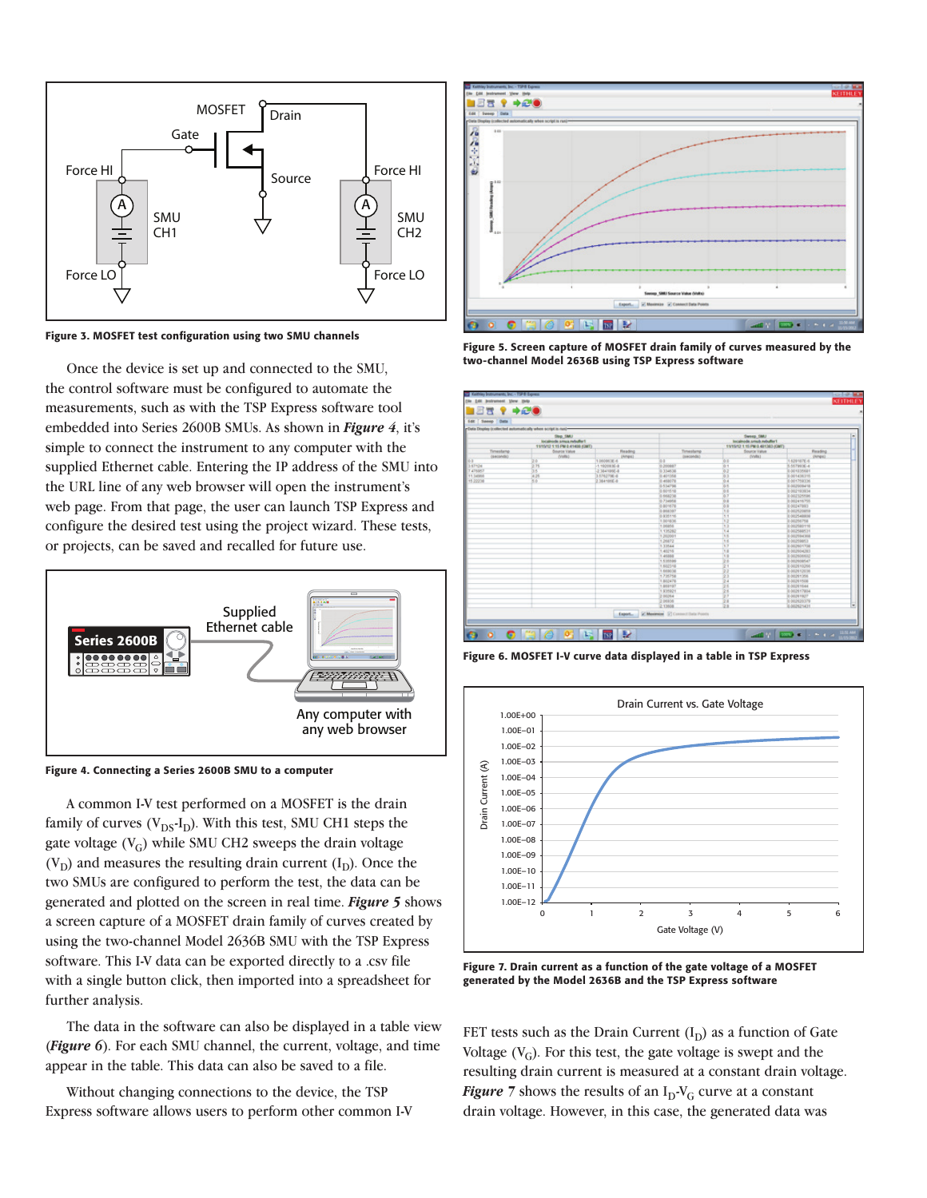

Figure 3. MOSFET test configuration using two SMU channels

Once the device is set up and connected to the SMU, the control software must be configured to automate the measurements, such as with the TSP Express software tool embedded into Series 2600B SMUs. As shown in *Figure 4*, it's simple to connect the instrument to any computer with the supplied Ethernet cable. Entering the IP address of the SMU into the URL line of any web browser will open the instrument's web page. From that page, the user can launch TSP Express and configure the desired test using the project wizard. These tests, or projects, can be saved and recalled for future use.



Figure 4. Connecting a Series 2600B SMU to a computer

A common I-V test performed on a MOSFET is the drain family of curves  $(V_{DS}I_D)$ . With this test, SMU CH1 steps the gate voltage  $(V_G)$  while SMU CH2 sweeps the drain voltage  $(V_D)$  and measures the resulting drain current  $(I_D)$ . Once the two SMUs are configured to perform the test, the data can be generated and plotted on the screen in real time. *Figure 5* shows a screen capture of a MOSFET drain family of curves created by using the two-channel Model 2636B SMU with the TSP Express software. This I-V data can be exported directly to a .csv file with a single button click, then imported into a spreadsheet for further analysis.

The data in the software can also be displayed in a table view (*Figure 6*). For each SMU channel, the current, voltage, and time appear in the table. This data can also be saved to a file.

Without changing connections to the device, the TSP Express software allows users to perform other common I-V



Figure 5. Screen capture of MOSFET drain family of curves measured by the two-channel Model 2636B using TSP Express software



Figure 6. MOSFET I-V curve data displayed in a table in TSP Express



Figure 7. Drain current as a function of the gate voltage of a MOSFET generated by the Model 2636B and the TSP Express software

FET tests such as the Drain Current  $(I_D)$  as a function of Gate Voltage  $(V_G)$ . For this test, the gate voltage is swept and the resulting drain current is measured at a constant drain voltage. *Figure* 7 shows the results of an  $I_D-V_G$  curve at a constant drain voltage. However, in this case, the generated data was